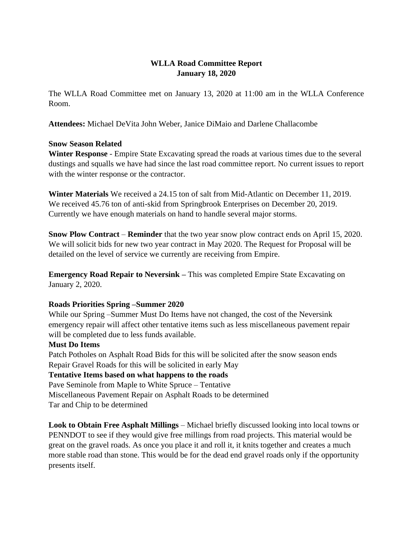# **WLLA Road Committee Report January 18, 2020**

The WLLA Road Committee met on January 13, 2020 at 11:00 am in the WLLA Conference Room.

**Attendees:** Michael DeVita John Weber, Janice DiMaio and Darlene Challacombe

# **Snow Season Related**

**Winter Response** - Empire State Excavating spread the roads at various times due to the several dustings and squalls we have had since the last road committee report. No current issues to report with the winter response or the contractor.

**Winter Materials** We received a 24.15 ton of salt from Mid-Atlantic on December 11, 2019. We received 45.76 ton of anti-skid from Springbrook Enterprises on December 20, 2019. Currently we have enough materials on hand to handle several major storms.

**Snow Plow Contract** – **Reminder** that the two year snow plow contract ends on April 15, 2020. We will solicit bids for new two year contract in May 2020. The Request for Proposal will be detailed on the level of service we currently are receiving from Empire.

**Emergency Road Repair to Neversink –** This was completed Empire State Excavating on January 2, 2020.

# **Roads Priorities Spring –Summer 2020**

While our Spring –Summer Must Do Items have not changed, the cost of the Neversink emergency repair will affect other tentative items such as less miscellaneous pavement repair will be completed due to less funds available.

## **Must Do Items**

Patch Potholes on Asphalt Road Bids for this will be solicited after the snow season ends Repair Gravel Roads for this will be solicited in early May **Tentative Items based on what happens to the roads**  Pave Seminole from Maple to White Spruce – Tentative Miscellaneous Pavement Repair on Asphalt Roads to be determined Tar and Chip to be determined

**Look to Obtain Free Asphalt Millings** – Michael briefly discussed looking into local towns or PENNDOT to see if they would give free millings from road projects. This material would be great on the gravel roads. As once you place it and roll it, it knits together and creates a much more stable road than stone. This would be for the dead end gravel roads only if the opportunity presents itself.